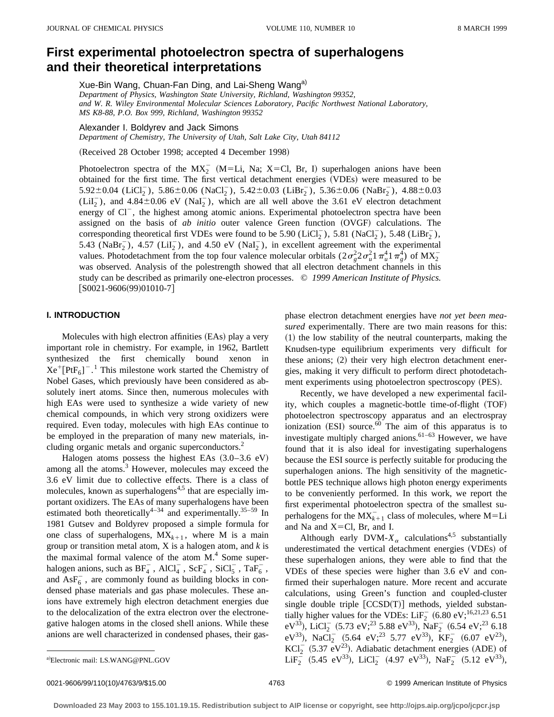# **First experimental photoelectron spectra of superhalogens and their theoretical interpretations**

Xue-Bin Wang, Chuan-Fan Ding, and Lai-Sheng Wang<sup>a)</sup>

*Department of Physics, Washington State University, Richland, Washington 99352, and W. R. Wiley Environmental Molecular Sciences Laboratory, Pacific Northwest National Laboratory, MS K8-88, P.O. Box 999, Richland, Washington 99352*

Alexander I. Boldyrev and Jack Simons

*Department of Chemistry, The University of Utah, Salt Lake City, Utah 84112*

(Received 28 October 1998; accepted 4 December 1998)

Photoelectron spectra of the  $MX_2^-$  (M=Li, Na; X=Cl, Br, I) superhalogen anions have been obtained for the first time. The first vertical detachment energies (VDEs) were measured to be 5.92  $\pm$  0.04 (LiCl<sub>2</sub>), 5.86  $\pm$  0.06 (NaCl<sub>2</sub>), 5.42  $\pm$  0.03 (LiBr<sub>2</sub>), 5.36  $\pm$  0.06 (NaBr<sub>2</sub>), 4.88  $\pm$  0.03  $(Lil<sub>2</sub><sup>-</sup>)$ , and  $4.84\pm0.06$  eV (NaI<sub>2</sub>), which are all well above the 3.61 eV electron detachment energy of  $Cl^-$ , the highest among atomic anions. Experimental photoelectron spectra have been assigned on the basis of *ab initio* outer valence Green function (OVGF) calculations. The corresponding theoretical first VDEs were found to be 5.90  $(LiCl_2^-)$ , 5.81  $(NaCl_2^-)$ , 5.48  $(LiBr_2^-)$ , 5.43 ( $Nabr_2^-$ ), 4.57 ( $LiI_2^-$ ), and 4.50 eV ( $NaI_2^-$ ), in excellent agreement with the experimental values. Photodetachment from the top four valence molecular orbitals  $(2\sigma_g^2 2\sigma_u^2 1\pi_u^4 1\pi_g^4)$  of  $MX_2^$ was observed. Analysis of the polestrength showed that all electron detachment channels in this study can be described as primarily one-electron processes. © *1999 American Institute of Physics.*  $[SO021-9606(99)01010-7]$ 

#### **I. INTRODUCTION**

Molecules with high electron affinities (EAs) play a very important role in chemistry. For example, in 1962, Bartlett synthesized the first chemically bound xenon in  $Xe^{+}[PtF_{6}]^{-1}$  This milestone work started the Chemistry of Nobel Gases, which previously have been considered as absolutely inert atoms. Since then, numerous molecules with high EAs were used to synthesize a wide variety of new chemical compounds, in which very strong oxidizers were required. Even today, molecules with high EAs continue to be employed in the preparation of many new materials, including organic metals and organic superconductors.<sup>2</sup>

Halogen atoms possess the highest EAs  $(3.0-3.6 \text{ eV})$ among all the atoms.<sup>3</sup> However, molecules may exceed the 3.6 eV limit due to collective effects. There is a class of molecules, known as superhalogens<sup> $4,5$ </sup> that are especially important oxidizers. The EAs of many superhalogens have been estimated both theoretically<sup>4-34</sup> and experimentally.<sup>35-59</sup> In 1981 Gutsev and Boldyrev proposed a simple formula for one class of superhalogens,  $MX_{k+1}$ , where M is a main group or transition metal atom, X is a halogen atom, and *k* is the maximal formal valence of the atom  $M<sup>4</sup>$  Some superhalogen anions, such as  $BF_4^-$ , AlCl<sub>4</sub>, ScF<sub>4</sub>, SiCl<sub>5</sub>, TaF<sub>6</sub>, and  $\text{AsF}_6^-$ , are commonly found as building blocks in condensed phase materials and gas phase molecules. These anions have extremely high electron detachment energies due to the delocalization of the extra electron over the electronegative halogen atoms in the closed shell anions. While these anions are well characterized in condensed phases, their gasphase electron detachment energies have *not yet been measured* experimentally. There are two main reasons for this:  $(1)$  the low stability of the neutral counterparts, making the Knudsen-type equilibrium experiments very difficult for these anions;  $(2)$  their very high electron detachment energies, making it very difficult to perform direct photodetachment experiments using photoelectron spectroscopy (PES).

Recently, we have developed a new experimental facility, which couples a magnetic-bottle time-of-flight (TOF) photoelectron spectroscopy apparatus and an electrospray ionization  $(ESI)$  source.<sup>60</sup> The aim of this apparatus is to investigate multiply charged anions.  $61-63$  However, we have found that it is also ideal for investigating superhalogens because the ESI source is perfectly suitable for producing the superhalogen anions. The high sensitivity of the magneticbottle PES technique allows high photon energy experiments to be conveniently performed. In this work, we report the first experimental photoelectron spectra of the smallest superhalogens for the  $\overline{MX_{k+1}}$  class of molecules, where M=Li and Na and  $X=Cl$ , Br, and I.

Although early DVM- $X_\alpha$  calculations<sup>4,5</sup> substantially underestimated the vertical detachment energies (VDEs) of these superhalogen anions, they were able to find that the VDEs of these species were higher than 3.6 eV and confirmed their superhalogen nature. More recent and accurate calculations, using Green's function and coupled-cluster single double triple  $[CCSD(T)]$  methods, yielded substantially higher values for the VDEs:  $\text{LiF}_2^{\text{-}}$  (6.80 eV;<sup>16,21,23</sup> 6.51) eV<sup>33</sup>), LiCl<sub>2</sub> (5.73 eV;<sup>23</sup> 5.88 eV<sup>33</sup>), NaF<sub>2</sub> (6.54 eV;<sup>23</sup> 6.18 eV<sup>33</sup>), NaCl<sub>2</sub> (5.64 eV;<sup>23</sup> 5.77 eV<sup>33</sup>), KF<sub>2</sub> (6.07 eV<sup>23</sup>),  $KCl_2^-$  (5.37 eV<sup>23</sup>). Adiabatic detachment energies (ADE) of a)Electronic mail: LS.WANG@PNL.GOV LiF<sub>2</sub> (5.45 eV<sup>33</sup>), LiCl<sub>2</sub> (4.97 eV<sup>33</sup>), NaF<sub>2</sub> (5.12 eV<sup>33</sup>),

a)Electronic mail: LS.WANG@PNL.GOV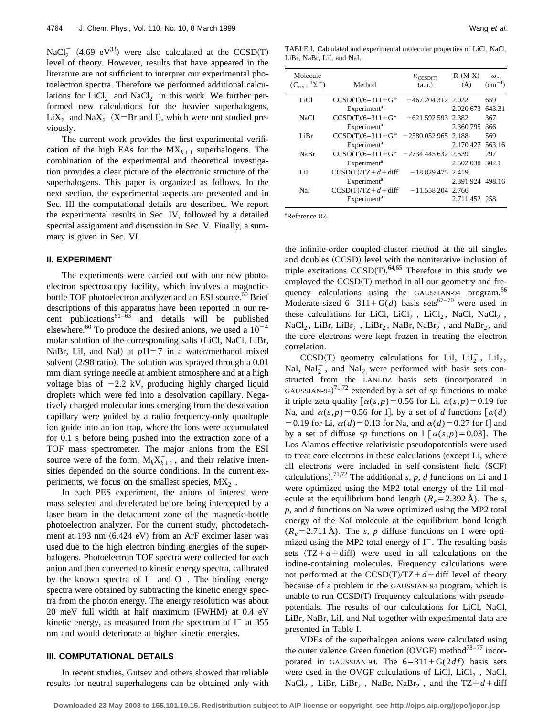NaCl<sub>2</sub> (4.69 eV<sup>33</sup>) were also calculated at the CCSD(T) level of theory. However, results that have appeared in the literature are not sufficient to interpret our experimental photoelectron spectra. Therefore we performed additional calculations for  $LiCl_2^-$  and  $NaCl_2^-$  in this work. We further performed new calculations for the heavier superhalogens,  $LiX_2^-$  and Na $X_2^-$  (X=Br and I), which were not studied previously.

The current work provides the first experimental verification of the high EAs for the  $MX_{k+1}$  superhalogens. The combination of the experimental and theoretical investigation provides a clear picture of the electronic structure of the superhalogens. This paper is organized as follows. In the next section, the experimental aspects are presented and in Sec. III the computational details are described. We report the experimental results in Sec. IV, followed by a detailed spectral assignment and discussion in Sec. V. Finally, a summary is given in Sec. VI.

### **II. EXPERIMENT**

The experiments were carried out with our new photoelectron spectroscopy facility, which involves a magneticbottle TOF photoelectron analyzer and an ESI source.<sup>60</sup> Brief descriptions of this apparatus have been reported in our recent publications<sup>61–63</sup> and details will be published elsewhere.<sup>60</sup> To produce the desired anions, we used a  $10^{-4}$ molar solution of the corresponding salts (LiCl, NaCl, LiBr, NaBr, LiI, and NaI) at  $pH=7$  in a water/methanol mixed solvent  $(2/98 \text{ ratio})$ . The solution was sprayed through a 0.01 mm diam syringe needle at ambient atmosphere and at a high voltage bias of  $-2.2$  kV, producing highly charged liquid droplets which were fed into a desolvation capillary. Negatively charged molecular ions emerging from the desolvation capillary were guided by a radio frequency-only quadruple ion guide into an ion trap, where the ions were accumulated for 0.1 s before being pushed into the extraction zone of a TOF mass spectrometer. The major anions from the ESI source were of the form,  $M_k X_{k+1}$ , and their relative intensities depended on the source conditions. In the current experiments, we focus on the smallest species,  $MX_2^-$ .

In each PES experiment, the anions of interest were mass selected and decelerated before being intercepted by a laser beam in the detachment zone of the magnetic-bottle photoelectron analyzer. For the current study, photodetachment at 193 nm  $(6.424 \text{ eV})$  from an ArF excimer laser was used due to the high electron binding energies of the superhalogens. Photoelectron TOF spectra were collected for each anion and then converted to kinetic energy spectra, calibrated by the known spectra of  $I^-$  and  $O^-$ . The binding energy spectra were obtained by subtracting the kinetic energy spectra from the photon energy. The energy resolution was about  $20$  meV full width at half maximum (FWHM) at  $0.4$  eV kinetic energy, as measured from the spectrum of  $I^-$  at 355 nm and would deteriorate at higher kinetic energies.

### **III. COMPUTATIONAL DETAILS**

In recent studies, Gutsev and others showed that reliable results for neutral superhalogens can be obtained only with

TABLE I. Calculated and experimental molecular properties of LiCl, NaCl, LiBr, NaBr, LiI, and NaI.

| Molecule<br>$(C_{\infty v}$ , ${}^{1}\Sigma^{+})$ | Method                  | $E_{\text{CCSD(T)}}$<br>(a.u.) | $R(M-X)$<br>$(\AA)$ | $\omega$<br>$\rm (cm^{-1})$ |
|---------------------------------------------------|-------------------------|--------------------------------|---------------------|-----------------------------|
| LiCl                                              | $CCSD(T)/6-311+G^*$     | $-467.204312$ 2.022            |                     | 659                         |
|                                                   | Experiment <sup>a</sup> |                                | 2.020 673           | 643.31                      |
| <b>NaCl</b>                                       | $CCSD(T)/6-311+G^*$     | $-621.592.593$                 | 2.382               | 367                         |
|                                                   | Experiment <sup>a</sup> |                                | 2.360 795           | 366                         |
| LiBr                                              | $CCSD(T)/6-311+G^*$     | $-2580.052965$ 2.188           |                     | 569                         |
|                                                   | Experiment <sup>a</sup> |                                | 2.170427            | 563.16                      |
| NaBr                                              | $CCSD(T)/6-311+G^*$     | $-2734.445632$ 2.539           |                     | 297                         |
|                                                   | Experiment <sup>a</sup> |                                | 2.502.038 302.1     |                             |
| LiI                                               | $CCSD(T)/TZ + d + diff$ | $-18.829475$ 2.419             |                     |                             |
|                                                   | Experiment <sup>a</sup> |                                | 2.391 924 498.16    |                             |
| NaI                                               | $CCSD(T)/TZ + d + diff$ | $-11.5582042.766$              |                     |                             |
|                                                   | Experiment <sup>a</sup> |                                | 2.711 452 258       |                             |
|                                                   |                         |                                |                     |                             |

a Reference 82.

the infinite-order coupled-cluster method at the all singles and doubles (CCSD) level with the noniterative inclusion of triple excitations  $CCSD(T)$ . <sup>64,65</sup> Therefore in this study we employed the  $CCSD(T)$  method in all our geometry and frequency calculations using the GAUSSIAN-94 program.<sup>66</sup> Moderate-sized  $6-311+G(d)$  basis sets<sup>67-70</sup> were used in these calculations for LiCl,  $LiCl_2^-$ ,  $LiCl_2$ , NaCl, NaCl<sub>2</sub>,  $NaCl<sub>2</sub>$ , LiBr, LiBr<sub>2</sub>, LiBr<sub>2</sub>, NaBr, NaBr<sub>2</sub>, and NaBr<sub>2</sub>, and the core electrons were kept frozen in treating the electron correlation.

CCSD(T) geometry calculations for LiI,  $LiI_2^-$ ,  $LiI_2$ , NaI, NaI $_2$ , and NaI<sub>2</sub> were performed with basis sets constructed from the LANLDZ basis sets (incorporated in GAUSSIAN-94)<sup>71,72</sup> extended by a set of *sp* functions to make it triple-zeta quality  $\lceil \alpha(s,p)=0.56$  for Li,  $\alpha(s,p)=0.19$  for Na, and  $\alpha(s,p) = 0.56$  for I, by a set of *d* functions  $\lceil \alpha(d) \rceil$ = 0.19 for Li,  $\alpha(d)$ = 0.13 for Na, and  $\alpha(d)$ = 0.27 for I] and by a set of diffuse *sp* functions on I  $\alpha(s,p) = 0.03$ . The Los Alamos effective relativistic pseudopotentials were used to treat core electrons in these calculations (except Li, where all electrons were included in self-consistent field (SCF) calculations).<sup>71,72</sup> The additional *s*, *p*, *d* functions on Li and I were optimized using the MP2 total energy of the LiI molecule at the equilibrium bond length  $(R_e = 2.392 \text{ Å})$ . The *s*, *p*, and *d* functions on Na were optimized using the MP2 total energy of the NaI molecule at the equilibrium bond length  $(R_e=2.711 \text{ Å})$ . The *s*, *p* diffuse functions on I were optimized using the MP2 total energy of  $I<sup>-</sup>$ . The resulting basis sets  $(TZ+d+diff)$  were used in all calculations on the iodine-containing molecules. Frequency calculations were not performed at the  $CCSD(T)/TZ+d+diff$  level of theory because of a problem in the GAUSSIAN-94 program, which is unable to run  $CCSD(T)$  frequency calculations with pseudopotentials. The results of our calculations for LiCl, NaCl, LiBr, NaBr, LiI, and NaI together with experimental data are presented in Table I.

VDEs of the superhalogen anions were calculated using the outer valence Green function  $(OVGF)$  method<sup>73–77</sup> incorporated in GAUSSIAN-94. The  $6-311+G(2df)$  basis sets were used in the OVGF calculations of LiCl,  $LiCl_2^-$ , NaCl, NaCl<sub>2</sub>, LiBr, LiBr<sub>2</sub>, NaBr, NaBr<sub>2</sub>, and the TZ+d+diff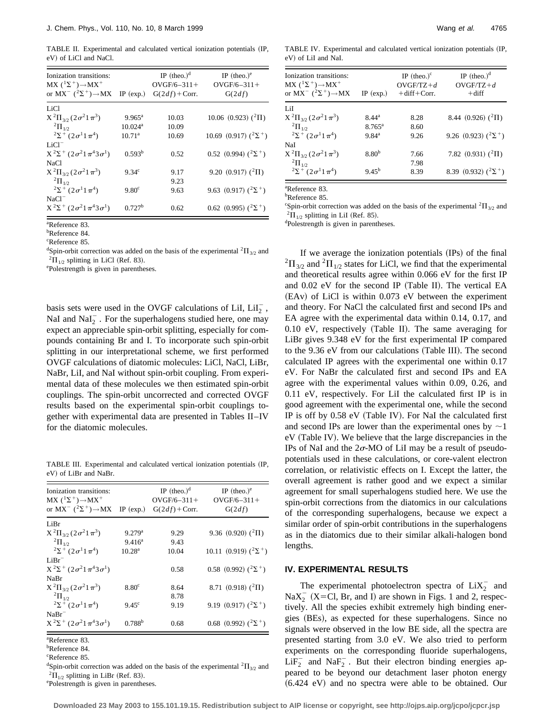TABLE II. Experimental and calculated vertical ionization potentials (IP, eV) of LiCl and NaCl.

| Ionization transitions:<br>$MX ({}^{1}\Sigma^{+}) \rightarrow MX^{+}$<br>or $MX^ (^2\Sigma^+) \rightarrow MX$ IP (exp.) |                     | IP (theo.) $d$<br>$OVGF/6 - 311 +$<br>$G(2df) + Corr.$ | IP $(theo.)^e$<br>$OVGF/6 - 311 +$<br>G(2df) |
|-------------------------------------------------------------------------------------------------------------------------|---------------------|--------------------------------------------------------|----------------------------------------------|
| LiCl                                                                                                                    |                     |                                                        |                                              |
| $X^{2}\Pi_{3/2}(2\sigma^{2}1\pi^{3})$                                                                                   | $9.965^{\text{a}}$  | 10.03                                                  | 10.06 (0.923) $(^{2}\Pi)$                    |
| ${}^{2}\Pi_{1/2}$                                                                                                       | 10.024 <sup>a</sup> | 10.09                                                  |                                              |
| $2\Sigma^+(2\sigma^1 1\pi^4)$                                                                                           | $10.71^a$           | 10.69                                                  | 10.69 (0.917) $({}^2\Sigma^+)$               |
| $LiCl^-$                                                                                                                |                     |                                                        |                                              |
| $X^{2}\Sigma^{+}$ (2 $\sigma^{2}1\pi^{4}3\sigma^{1}$ )                                                                  | 0.593 <sup>b</sup>  | 0.52                                                   | 0.52 (0.994) $(^{2}\Sigma^{+})$              |
| NaCl                                                                                                                    |                     |                                                        |                                              |
| $X^{2}\Pi_{3/2}(2\sigma^{2}1\pi^{3})$                                                                                   | 9.34 <sup>c</sup>   | 9.17                                                   | 9.20 $(0.917)$ $(^{2}\Pi)$                   |
| ${}^{2}\Pi_{1/2}$                                                                                                       |                     | 9.23                                                   |                                              |
| $2\Sigma$ + $(2\sigma^1 1\pi^4)$                                                                                        | $9.80^{\circ}$      | 9.63                                                   | 9.63 (0.917) $(^{2}\Sigma^{+})$              |
| $NaCl^-$                                                                                                                |                     |                                                        |                                              |
| $X^{2}\Sigma^{+}$ (2 $\sigma^{2}$ 1 $\pi^{4}$ 3 $\sigma^{1}$ )                                                          | $0.727^b$           | 0.62                                                   | 0.62 (0.995) $(^{2}\Sigma^{+})$              |

a Reference 83.

b Reference 84.

c Reference 85.

<sup>d</sup>Spin-orbit correction was added on the basis of the experimental <sup>2</sup> $\Pi_{3/2}$  and <sup>2</sup> $\Pi_{1/2}$  splitting in LiCl (Ref. 83).  ${}^{2}\Pi_{1/2}$  splitting in LiCl (Ref. 83).<br>
"Polestrength is given in parentheses.

basis sets were used in the OVGF calculations of LiI,  $LiI_2^-$ , NaI and  $\text{NaI}_2^-$ . For the superhalogens studied here, one may expect an appreciable spin-orbit splitting, especially for compounds containing Br and I. To incorporate such spin-orbit splitting in our interpretational scheme, we first performed OVGF calculations of diatomic molecules: LiCl, NaCl, LiBr, NaBr, LiI, and NaI without spin-orbit coupling. From experimental data of these molecules we then estimated spin-orbit couplings. The spin-orbit uncorrected and corrected OVGF results based on the experimental spin-orbit couplings together with experimental data are presented in Tables II–IV for the diatomic molecules.

TABLE III. Experimental and calculated vertical ionization potentials (IP, eV) of LiBr and NaBr.

| Ionization transitions:<br>$MX ({}^{1}\Sigma^{+}) \rightarrow MX^{+}$<br>or MX <sup>-</sup> $(^{2}\Sigma^{+}) \rightarrow$ MX IP (exp.) |                    | IP (theo.) <sup>d</sup><br>$OVGF/6 - 311 +$<br>$G(2df) + Corr.$ | IP (theo.) $^e$<br>$OVGF/6 - 311 +$<br>G(2df) |
|-----------------------------------------------------------------------------------------------------------------------------------------|--------------------|-----------------------------------------------------------------|-----------------------------------------------|
| LiBr                                                                                                                                    |                    |                                                                 |                                               |
| $X^{2}\Pi_{3/2} (2\sigma^{2} 1\pi^{3})$                                                                                                 | $9.279^{\rm a}$    | 9.29                                                            | 9.36 $(0.920)$ $(^{2}\Pi)$                    |
| <sup>2</sup> $\Pi_{1/2}$                                                                                                                | $9.416^a$          | 9.43                                                            |                                               |
| $2\Sigma$ + $(2\sigma^1 1\pi^4)$                                                                                                        | 10.28 <sup>a</sup> | 10.04                                                           | 10.11 (0.919) $(^{2}\Sigma^{+})$              |
| $LiBr^-$                                                                                                                                |                    |                                                                 |                                               |
| $X^{2}\Sigma^{+}$ (2 $\sigma^{2}1\pi^{4}3\sigma^{1}$ )                                                                                  |                    | 0.58                                                            | 0.58 (0.992) $(^{2}\Sigma^{+})$               |
| NaBr                                                                                                                                    |                    |                                                                 |                                               |
| $X^{2}\Pi_{3/2}(2\sigma^{2}1\pi^{3})$                                                                                                   | 8.80 <sup>c</sup>  | 8.64                                                            | 8.71 (0.918) $(^{2}\Pi)$                      |
| ${}^{2} \Pi_{1/2}$                                                                                                                      |                    | 8.78                                                            |                                               |
| $2\Sigma$ <sup>+</sup> $(2\sigma^1 1\pi^4)$                                                                                             | $9.45^{\circ}$     | 9.19                                                            | 9.19 (0.917) $(^{2}\Sigma^{+})$               |
| $NaBr^-$                                                                                                                                |                    |                                                                 |                                               |
| $X^{2}\Sigma^{+}$ (2 $\sigma^{2}1\pi^{4}3\sigma^{1}$ )                                                                                  | $0.788^{b}$        | 0.68                                                            | 0.68 (0.992) $(^{2}\Sigma^{+})$               |

a Reference 83.

b Reference 84.

c Reference 85.

<sup>d</sup>Spin-orbit correction was added on the basis of the experimental <sup>2</sup> $\Pi_{3/2}$  and <sup>2</sup> $\Pi_{1/2}$  splitting in LiBr (Ref. 83).<br><sup>e</sup>Polestrangth is given in parantheess

Polestrength is given in parentheses.

TABLE IV. Experimental and calculated vertical ionization potentials (IP, eV) of LiI and NaI.

| Ionization transitions:<br>$MX ({}^{1}\Sigma^{+}) \rightarrow MX^{+}$<br>or $MX^ (^2\Sigma^+) \rightarrow MX$ | IP $(exp.)$       | IP (theo.) $\textdegree$<br>$OVGF/TZ+d$<br>$+diff+Corr.$ | IP (theo.) $d$<br>$OVGF/TZ+d$<br>$+$ diff |
|---------------------------------------------------------------------------------------------------------------|-------------------|----------------------------------------------------------|-------------------------------------------|
| LiI                                                                                                           |                   |                                                          |                                           |
| $X^{2}\Pi_{3}^{(1)}(2\sigma^{2}1\pi^{3})$                                                                     | $8.44^{\rm a}$    | 8.28                                                     | 8.44 $(0.926)$ $(^{2}\Pi)$                |
| <sup>2</sup> $\Pi_{1/2}$                                                                                      | $8.765^{\rm a}$   | 8.60                                                     |                                           |
| $2\Sigma$ + $(2\sigma^1 1\pi^4)$                                                                              | 9.84 <sup>a</sup> | 9.26                                                     | 9.26 (0.923) $(^{2}\Sigma^{+})$           |
| NaI                                                                                                           |                   |                                                          |                                           |
| $X^{2}\Pi_{3/2}(2\sigma^{2}1\pi^{3})$                                                                         | $8.80^{b}$        | 7.66                                                     | 7.82 $(0.931)$ $(^{2}\Pi)$                |
| <sup>2</sup> $\Pi_{1/2}$                                                                                      |                   | 7.98                                                     |                                           |
| $2\Sigma^+ (2\sigma^1 1\pi^4)$                                                                                | $9.45^{b}$        | 8.39                                                     | 8.39 (0.932) $(^{2}\Sigma^{+})$           |

a Reference 83. b Reference 85.

<sup>c</sup>Spin-orbit correction was added on the basis of the experimental <sup>2</sup> $\Pi_{3/2}$  and <sup>2</sup> $\Pi_{1/2}$  splitting in LiI (Ref. 85).<br><sup>d</sup>Polestrenath is given in parentheses

Polestrength is given in parentheses.

If we average the ionization potentials (IPs) of the final  ${}^{2}$ II<sub>3/2</sub> and  ${}^{2}$ II<sub>1/2</sub> states for LiCl, we find that the experimental and theoretical results agree within 0.066 eV for the first IP and  $0.02$  eV for the second IP (Table II). The vertical EA  $(EAv)$  of LiCl is within 0.073 eV between the experiment and theory. For NaCl the calculated first and second IPs and EA agree with the experimental data within 0.14, 0.17, and  $0.10$  eV, respectively (Table II). The same averaging for LiBr gives 9.348 eV for the first experimental IP compared to the 9.36 eV from our calculations (Table III). The second calculated IP agrees with the experimental one within 0.17 eV. For NaBr the calculated first and second IPs and EA agree with the experimental values within 0.09, 0.26, and 0.11 eV, respectively. For LiI the calculated first IP is in good agreement with the experimental one, while the second IP is off by  $0.58$  eV (Table IV). For NaI the calculated first and second IPs are lower than the experimental ones by  $\sim$ 1 eV (Table IV). We believe that the large discrepancies in the IPs of NaI and the  $2\sigma$ -MO of LiI may be a result of pseudopotentials used in these calculations, or core-valent electron correlation, or relativistic effects on I. Except the latter, the overall agreement is rather good and we expect a similar agreement for small superhalogens studied here. We use the spin-orbit corrections from the diatomics in our calculations of the corresponding superhalogens, because we expect a similar order of spin-orbit contributions in the superhalogens as in the diatomics due to their similar alkali-halogen bond lengths.

### **IV. EXPERIMENTAL RESULTS**

The experimental photoelectron spectra of  $LiX_2^-$  and  $\text{NaX}_2^-$  (X=Cl, Br, and I) are shown in Figs. 1 and 2, respectively. All the species exhibit extremely high binding energies (BEs), as expected for these superhalogens. Since no signals were observed in the low BE side, all the spectra are presented starting from 3.0 eV. We also tried to perform experiments on the corresponding fluoride superhalogens,  $LiF_2^-$  and  $NaF_2^-$ . But their electron binding energies appeared to be beyond our detachment laser photon energy  $(6.424 \text{ eV})$  and no spectra were able to be obtained. Our

**Downloaded 23 May 2003 to 155.101.19.15. Redistribution subject to AIP license or copyright, see http://ojps.aip.org/jcpo/jcpcr.jsp**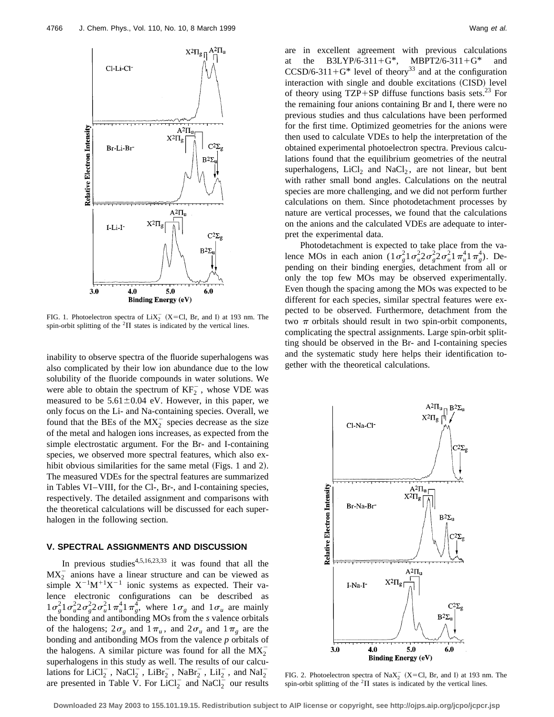

FIG. 1. Photoelectron spectra of  $LiX_2^-$  (X=Cl, Br, and I) at 193 nm. The spin-orbit splitting of the  ${}^{2}$  $\Pi$  states is indicated by the vertical lines.

inability to observe spectra of the fluoride superhalogens was also complicated by their low ion abundance due to the low solubility of the fluoride compounds in water solutions. We were able to obtain the spectrum of  $KF_2^-$ , whose VDE was measured to be  $5.61 \pm 0.04$  eV. However, in this paper, we only focus on the Li- and Na-containing species. Overall, we found that the BEs of the  $MX_2^-$  species decrease as the size of the metal and halogen ions increases, as expected from the simple electrostatic argument. For the Br- and I-containing species, we observed more spectral features, which also exhibit obvious similarities for the same metal  $(Figs. 1$  and 2). The measured VDEs for the spectral features are summarized in Tables VI–VIII, for the Cl-, Br-, and I-containing species, respectively. The detailed assignment and comparisons with the theoretical calculations will be discussed for each superhalogen in the following section.

### **V. SPECTRAL ASSIGNMENTS AND DISCUSSION**

In previous studies<sup>4,5,16,23,33</sup> it was found that all the  $MX_2^-$  anions have a linear structure and can be viewed as simple  $X^{-1}M^{+1}X^{-1}$  ionic systems as expected. Their valence electronic configurations can be described as  $1\sigma_g^2 1\sigma_u^2 2\sigma_g^2 2\sigma_u^2 1\pi_u^4 1\pi_g^4$ , where  $1\sigma_g$  and  $1\sigma_u$  are mainly the bonding and antibonding MOs from the *s* valence orbitals of the halogens;  $2\sigma_g$  and  $1\pi_u$ , and  $2\sigma_u$  and  $1\pi_g$  are the bonding and antibonding MOs from the valence *p* orbitals of the halogens. A similar picture was found for all the  $MX_2^$ superhalogens in this study as well. The results of our calculations for LiCl<sub>2</sub>, NaCl<sub>2</sub>, LiBr<sub>2</sub>, NaBr<sub>2</sub>, LiI<sub>2</sub>, and NaI<sub>2</sub> are presented in Table V. For  $LiCl_2^-$  and NaCl<sub>2</sub> our results are in excellent agreement with previous calculations at the B3LYP/6-311+G\*, MBPT2/6-311+G\* and  $CCSD/6-311+G^*$  level of theory<sup>33</sup> and at the configuration interaction with single and double excitations (CISD) level of theory using  $TZP+SP$  diffuse functions basis sets.<sup>23</sup> For the remaining four anions containing Br and I, there were no previous studies and thus calculations have been performed for the first time. Optimized geometries for the anions were then used to calculate VDEs to help the interpretation of the obtained experimental photoelectron spectra. Previous calculations found that the equilibrium geometries of the neutral superhalogens,  $LiCl<sub>2</sub>$  and  $NaCl<sub>2</sub>$ , are not linear, but bent with rather small bond angles. Calculations on the neutral species are more challenging, and we did not perform further calculations on them. Since photodetachment processes by nature are vertical processes, we found that the calculations on the anions and the calculated VDEs are adequate to interpret the experimental data.

Photodetachment is expected to take place from the valence MOs in each anion  $(1\sigma_g^2 1\sigma_u^2 2\sigma_g^2 2\sigma_u^2 1\pi_u^4 1\pi_g^4)$ . Depending on their binding energies, detachment from all or only the top few MOs may be observed experimentally. Even though the spacing among the MOs was expected to be different for each species, similar spectral features were expected to be observed. Furthermore, detachment from the two  $\pi$  orbitals should result in two spin-orbit components, complicating the spectral assignments. Large spin-orbit splitting should be observed in the Br- and I-containing species and the systematic study here helps their identification together with the theoretical calculations.



FIG. 2. Photoelectron spectra of NaX<sub>2</sub><sup>-</sup> (X=Cl, Br, and I) at 193 nm. The spin-orbit splitting of the  ${}^{2}$  $\Pi$  states is indicated by the vertical lines.

**Downloaded 23 May 2003 to 155.101.19.15. Redistribution subject to AIP license or copyright, see http://ojps.aip.org/jcpo/jcpcr.jsp**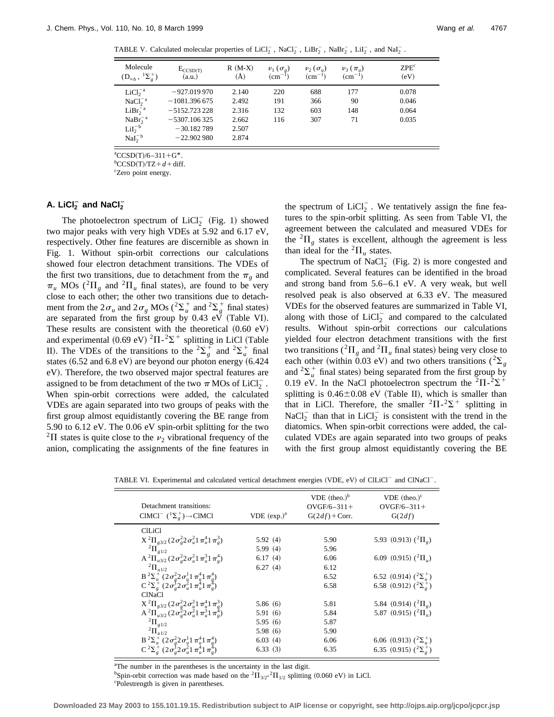TABLE V. Calculated molecular properties of  $LiCl_2^-$ ,  $NaCl_2^-$ ,  $LiBr_2^-$ ,  $NaBr_2^-$ ,  $LiI_2^-$ , and  $NaI_2^-$ .

| Molecule<br>$^{1}\Sigma_{\rho}^{+}$<br>$(D_{\infty h},$ | $E_{CCSD(T)}$<br>(a.u.) | $R(M-X)$<br>(Å) | $v_1(\sigma_g)$<br>$\rm \left( cm^{-1} \right)$ | $\nu_{2}(\sigma_{u})$<br>$\rm (cm^{-1})$ | $\nu_3(\pi_u)$<br>$\rm (cm^{-1})$ | ZPE <sup>c</sup><br>(eV) |
|---------------------------------------------------------|-------------------------|-----------------|-------------------------------------------------|------------------------------------------|-----------------------------------|--------------------------|
| $LiCl2-a$                                               | $-927.019970$           | 2.140           | 220                                             | 688                                      | 177                               | 0.078                    |
| $NaCl2-a$                                               | $-1081.396675$          | 2.492           | 191                                             | 366                                      | 90                                | 0.046                    |
| $LiBr2-a$                                               | $-5152.723228$          | 2.316           | 132                                             | 603                                      | 148                               | 0.064                    |
| $NaBr2-a$                                               | $-5307.106325$          | 2.662           | 116                                             | 307                                      | 71                                | 0.035                    |
| $LiI_2^{-b}$                                            | $-30.182789$            | 2.507           |                                                 |                                          |                                   |                          |
| $NaI_2^{-b}$                                            | $-22.902980$            | 2.874           |                                                 |                                          |                                   |                          |

 ${}^{\text{a}}$ CCSD(T)/6-311+G<sup>\*</sup>.

 $b$ CCSD(T)/TZ+ $d$ +diff.

c Zero point energy.

## **A.** LiCI<sub>2</sub><sup> $-$ </sup> and NaCI<sub>2</sub><sup> $-$ </sup>

The photoelectron spectrum of  $LiCl_2^-$  (Fig. 1) showed two major peaks with very high VDEs at 5.92 and 6.17 eV, respectively. Other fine features are discernible as shown in Fig. 1. Without spin-orbit corrections our calculations showed four electron detachment transitions. The VDEs of the first two transitions, due to detachment from the  $\pi$ <sub>*c*</sub> and  $\pi_u$  MOs (<sup>2</sup> $\Pi_g$  and <sup>2</sup> $\Pi_u$  final states), are found to be very close to each other; the other two transitions due to detachment from the  $2\sigma_u$  and  $2\sigma_g$  MOs ( ${}^2\Sigma_u^+$  and  ${}^2\Sigma_g^+$  final states) are separated from the first group by  $0.43$  eV (Table VI). These results are consistent with the theoretical  $(0.60 \text{ eV})$ and experimental (0.69 eV) <sup>2</sup> $\Pi$ -<sup>2</sup> $\Sigma$ <sup>+</sup> splitting in LiCl (Table II). The VDEs of the transitions to the  ${}^{2}\Sigma_{g}^{+}$  and  ${}^{2}\Sigma_{u}^{+}$  final states  $(6.52$  and  $6.8$  eV) are beyond our photon energy  $(6.424)$ eV). Therefore, the two observed major spectral features are assigned to be from detachment of the two  $\pi$  MOs of LiCl<sub>2</sub>. When spin-orbit corrections were added, the calculated VDEs are again separated into two groups of peaks with the first group almost equidistantly covering the BE range from 5.90 to 6.12 eV. The 0.06 eV spin-orbit splitting for the two <sup>2</sup> $\Pi$  states is quite close to the  $\nu_2$  vibrational frequency of the anion, complicating the assignments of the fine features in

the spectrum of  $LiCl_2^-$ . We tentatively assign the fine features to the spin-orbit splitting. As seen from Table VI, the agreement between the calculated and measured VDEs for the  ${}^{2}\Pi_{\varphi}$  states is excellent, although the agreement is less than ideal for the  ${}^2\Pi_u$  states.

The spectrum of  $NaCl<sub>2</sub><sup>-</sup>$  (Fig. 2) is more congested and complicated. Several features can be identified in the broad and strong band from 5.6–6.1 eV. A very weak, but well resolved peak is also observed at 6.33 eV. The measured VDEs for the observed features are summarized in Table VI, along with those of  $LiCl_2^-$  and compared to the calculated results. Without spin-orbit corrections our calculations yielded four electron detachment transitions with the first two transitions ( ${}^{2}\Pi_{\varrho}$  and  ${}^{2}\Pi_{\mu}$  final states) being very close to each other (within 0.03 eV) and two others transitions ( ${}^{2}\Sigma_{g}$ ) and  ${}^{2}\Sigma_{u}^{+}$  final states) being separated from the first group by 0.19 eV. In the NaCl photoelectron spectrum the  ${}^{2}\Pi - {}^{2}\Sigma +$ splitting is  $0.46 \pm 0.08$  eV (Table II), which is smaller than that in LiCl. Therefore, the smaller  ${}^{2}\Pi - {}^{2}\Sigma^{+}$  splitting in NaCl<sub>2</sub> than that in LiCl<sub>2</sub> is consistent with the trend in the diatomics. When spin-orbit corrections were added, the calculated VDEs are again separated into two groups of peaks with the first group almost equidistantly covering the BE

|                                                                                                                                                                            |                           | VDE $(theo.)^b$  | VDE $(theo.)^c$                       |
|----------------------------------------------------------------------------------------------------------------------------------------------------------------------------|---------------------------|------------------|---------------------------------------|
| Detachment transitions:                                                                                                                                                    |                           | $OVGF/6 - 311 +$ | $OVGF/6 - 311 +$                      |
| $CIMCI^-({}^1\Sigma^+_o) \rightarrow CIMCI$                                                                                                                                | $VDE$ (exp.) <sup>a</sup> | $G(2df) + Corr.$ | G(2df)                                |
| <b>CILICI</b>                                                                                                                                                              |                           |                  |                                       |
| $X^{2}\Pi_{g3/2} (2\sigma_{g}^{2}2\sigma_{u}^{2}1\pi_{u}^{4}1\pi_{g}^{3})$                                                                                                 | 5.92(4)                   | 5.90             | 5.93 (0.913) $(^{2}\Pi_{o}$ )         |
| ${}^{2}\Pi_{g1/2}$                                                                                                                                                         | 5.99(4)                   | 5.96             |                                       |
| $A^{2}\Pi_{u3/2} (2\sigma_{e}^{2}2\sigma_{u}^{2}1\pi_{u}^{3}1\pi_{v}^{4})$                                                                                                 | 6.17(4)                   | 6.06             | 6.09 (0.915) $(^{2}\Pi_{\nu})$        |
| <sup>2</sup> $\Pi_{u1/2}$                                                                                                                                                  | 6.27(4)                   | 6.12             |                                       |
| $B^{2}\Sigma_{u}^{+} (2\sigma_{g}^{2}2\sigma_{u}^{1}1\pi_{u}^{4}1\pi_{g}^{4})$<br>C <sub>2</sub> $\Sigma_{g}^{+} (2\sigma_{g}^{1}2\sigma_{u}^{2}1\pi_{u}^{4}1\pi_{g}^{4})$ |                           | 6.52             | 6.52 (0.914) $(^{2}\Sigma^{+})$       |
|                                                                                                                                                                            |                           | 6.58             | 6.58 (0.912) $({}^2\Sigma_o^+)$       |
| <b>CINaCl</b>                                                                                                                                                              |                           |                  |                                       |
| $X^2\Pi_{g3/2} (2\sigma_g^2 2\sigma_u^2 1 \pi_u^4 1 \pi_g^3)$<br>A $^2\Pi_{u3/2} (2\sigma_g^2 2\sigma_u^2 1 \pi_u^3 1 \pi_g^4)$                                            | 5.86(6)                   | 5.81             | 5.84 (0.914) $(^{2}\Pi_{o})$          |
|                                                                                                                                                                            | 5.91(6)                   | 5.84             | 5.87 (0.915) $(^{2}\Pi_{\nu})$        |
| ${}^{2}\Pi_{g1/2}$                                                                                                                                                         | 5.95(6)                   | 5.87             |                                       |
| ${}^{2} \Pi_{u1/2}$                                                                                                                                                        | 5.98(6)                   | 5.90             |                                       |
| $B^2\Sigma_u^+ (2\sigma_g^2 2\sigma_u^1 1 \pi_u^4 1 \pi_g^4)$<br>C $^2\Sigma_v^+ (2\sigma_g^1 2\sigma_u^2 1 \pi_u^4 1 \pi_g^4)$                                            | 6.03(4)                   | 6.06             | 6.06 (0.913) $(^{2}\Sigma^{+}_{\nu})$ |
|                                                                                                                                                                            | 6.33(3)                   | 6.35             | 6.35 (0.915) $(^{2}\Sigma^{+}_{o})$   |

TABLE VI. Experimental and calculated vertical detachment energies (VDE, eV) of ClLiCl<sup>-</sup> and ClNaCl<sup>-</sup>.

<sup>a</sup>The number in the parentheses is the uncertainty in the last digit.

<sup>b</sup>Spin-orbit correction was made based on the <sup>2</sup> $\Pi_{3/2}$ <sup>-2</sup> $\Pi_{1/2}$  splitting (0.060 eV) in LiCl.

Polestrength is given in parentheses.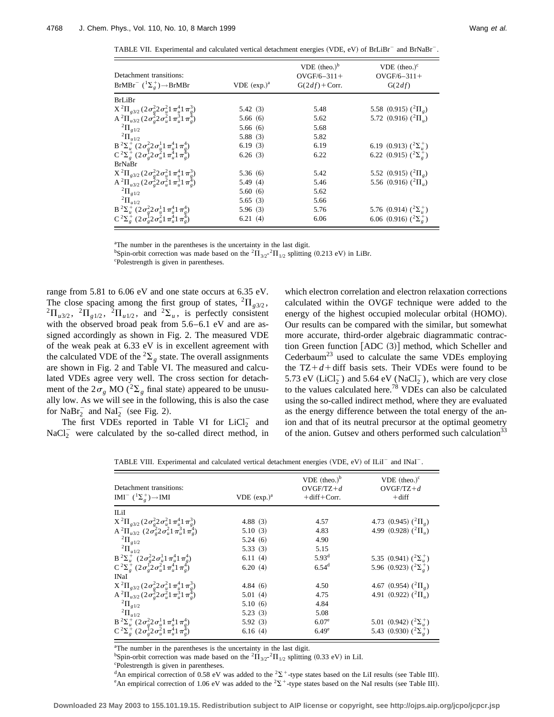TABLE VII. Experimental and calculated vertical detachment energies (VDE, eV) of BrLiBr<sup>-</sup> and BrNaBr<sup>-</sup>.

| Detachment transitions:<br>$BrMBr^ ({}^1\Sigma_g^+) \rightarrow BrMBr$                                                                                                              | $VDE$ (exp.) <sup>a</sup> | VDE (theo.) $\rm^b$<br>$OVGF/6 - 311 +$<br>$G(2df) + Corr.$ | VDE $(theo.)^c$<br>$OVGF/6 - 311 +$<br>G(2df) |
|-------------------------------------------------------------------------------------------------------------------------------------------------------------------------------------|---------------------------|-------------------------------------------------------------|-----------------------------------------------|
| <b>BrLiBr</b>                                                                                                                                                                       |                           |                                                             |                                               |
| $\begin{array}{l} X^2\Pi_{g3/2} \left(2 \sigma_g^2 2 \sigma_u^2 1 \pi_u^4 1 \pi_g^3\right) \\ A^2\Pi_{u3/2} \left(2 \sigma_g^2 2 \sigma_u^2 1 \pi_u^3 1 \pi_g^4\right) \end{array}$ | 5.42(3)                   | 5.48                                                        | 5.58 (0.915) $(^{2}\Pi_{o}$ )                 |
|                                                                                                                                                                                     | 5.66(6)                   | 5.62                                                        | 5.72 (0.916) $(^{2}\Pi$ <sub>v</sub> )        |
| ${}^{2}\Pi_{g1/2}$                                                                                                                                                                  | 5.66(6)                   | 5.68                                                        |                                               |
| ${}^{2}\Pi_{u1/2}$                                                                                                                                                                  | 5.88(3)                   | 5.82                                                        |                                               |
|                                                                                                                                                                                     | 6.19(3)                   | 6.19                                                        | 6.19 (0.913) $({}^2\Sigma_u^+)$               |
| $B^2\Sigma_u^+ (2\sigma_g^2 2\sigma_u^1 1 \pi_u^4 1 \pi_g^4)$<br>C <sup>2</sup> $\Sigma_e^+ (2\sigma_g^1 2\sigma_u^2 1 \pi_u^4 1 \pi_g^4)$                                          | 6.26(3)                   | 6.22                                                        | 6.22 (0.915) $(^{2}\Sigma^{+}_{o})$           |
| <b>BrNaBr</b>                                                                                                                                                                       |                           |                                                             |                                               |
|                                                                                                                                                                                     | 5.36(6)                   | 5.42                                                        | 5.52 (0.915) $(^{2}\Pi_{o})$                  |
| $\begin{array}{l} X^2\Pi_{g3/2}(2\sigma_g^22\sigma_u^21\,\pi_u^41\,\pi_g^3) \\ A^2\Pi_{u3/2}(2\sigma_g^22\sigma_u^21\,\pi_u^31\,\pi_g^4) \end{array}$                               | 5.49(4)                   | 5.46                                                        | 5.56 (0.916) $(^{2}\Pi_{\nu})$                |
| ${}^{2}\Pi_{g1/2}$                                                                                                                                                                  | 5.60(6)                   | 5.62                                                        |                                               |
| ${}^{2}\Pi_{u1/2}$                                                                                                                                                                  | 5.65(3)                   | 5.66                                                        |                                               |
|                                                                                                                                                                                     | 5.96(3)                   | 5.76                                                        | 5.76 (0.914) $(^{2}\Sigma^{+}_{u})$           |
| $B^2\Sigma_u^+ (2\sigma_g^2 2\sigma_u^1 1\pi_u^4 1\pi_g^4)$<br>C <sup>2</sup> $\Sigma_e^+ (2\sigma_g^1 2\sigma_u^2 1\pi_u^4 1\pi_g^4)$                                              | 6.21(4)                   | 6.06                                                        | 6.06 (0.916) $(^{2}\Sigma_{\rho}^{+})$        |

<sup>a</sup>The number in the parentheses is the uncertainty in the last digit.

<sup>b</sup>Spin-orbit correction was made based on the <sup>2</sup> $\Pi_{3/2}$ <sup>-2</sup> $\Pi_{1/2}$  splitting (0.213 eV) in LiBr.

Polestrength is given in parentheses.

range from 5.81 to 6.06 eV and one state occurs at 6.35 eV. The close spacing among the first group of states,  ${}^{2}\Pi_{g3/2}$ ,  ${}^{2}\Pi_{u3/2}$ ,  ${}^{2}\Pi_{g1/2}$ ,  ${}^{2}\Pi_{u1/2}$ , and  ${}^{2}\Sigma_{u}$ , is perfectly consistent with the observed broad peak from 5.6–6.1 eV and are assigned accordingly as shown in Fig. 2. The measured VDE of the weak peak at 6.33 eV is in excellent agreement with the calculated VDE of the  ${}^{2}\Sigma_{g}$  state. The overall assignments are shown in Fig. 2 and Table VI. The measured and calculated VDEs agree very well. The cross section for detachment of the  $2\sigma_{\varrho}$  MO (<sup>2</sup> $\Sigma_{\varrho}$  final state) appeared to be unusually low. As we will see in the following, this is also the case for  $Nabr_2^-$  and  $Nal_2^-$  (see Fig. 2).

The first VDEs reported in Table VI for  $LiCl_2^-$  and  $NaCl<sub>2</sub><sup>-</sup>$  were calculated by the so-called direct method, in which electron correlation and electron relaxation corrections calculated within the OVGF technique were added to the energy of the highest occupied molecular orbital (HOMO). Our results can be compared with the similar, but somewhat more accurate, third-order algebraic diagrammatic contraction Green function  $[ADC (3)]$  method, which Scheller and Cederbaum<sup>23</sup> used to calculate the same VDEs employing the  $TZ+d+diff$  basis sets. Their VDEs were found to be 5.73 eV ( $LiCl_2^-$ ) and 5.64 eV (NaCl<sub>2</sub>), which are very close to the values calculated here.<sup>78</sup> VDEs can also be calculated using the so-called indirect method, where they are evaluated as the energy difference between the total energy of the anion and that of its neutral precursor at the optimal geometry of the anion. Gutsev and others performed such calculation<sup>33</sup>

TABLE VIII. Experimental and calculated vertical detachment energies (VDE, eV) of ILiI<sup>-</sup> and INaI<sup>-</sup>.

| Detachment transitions:<br>$IMI^{-}({}^{1}\Sigma_{\rho}^{+}) \rightarrow IMI$                                                                                                       | $VDE$ (exp.) <sup>a</sup> | $VDE$ (theo.) <sup>b</sup><br>$OVGF/TZ+d$<br>$+$ diff $+$ Corr. | VDE $(theo.)^c$<br>$OVGF/TZ+d$<br>$+$ diff |
|-------------------------------------------------------------------------------------------------------------------------------------------------------------------------------------|---------------------------|-----------------------------------------------------------------|--------------------------------------------|
| II iI                                                                                                                                                                               |                           |                                                                 |                                            |
|                                                                                                                                                                                     | 4.88(3)                   | 4.57                                                            | 4.73 (0.945) $(^{2}\Pi_{o})$               |
| $\begin{array}{l} X^2\Pi_{g3/2} \, (2\sigma_g^2 2\sigma_u^2 1\, \pi_u^4 1\, \pi_g^3) \\ A^2\Pi_{u3/2} \, \, (2\sigma_g^2 2\sigma_u^2 1\, \pi_u^3 1\, \pi_e^4) \end{array}$          | 5.10(3)                   | 4.83                                                            | 4.99 (0.928) $(^{2}\Pi_{\nu})$             |
| ${}^{2}\Pi_{g1/2}$                                                                                                                                                                  | 5.24(6)                   | 4.90                                                            |                                            |
| ${}^{2}\Pi_{u1/2}$                                                                                                                                                                  | 5.33(3)                   | 5.15                                                            |                                            |
| $B^{2}\Sigma_{u}^{+}$ $(2\sigma_{g}^{2}2\sigma_{u}^{1}1\pi_{u}^{4}1\pi_{g}^{4})$                                                                                                    | 6.11(4)                   | 5.93 <sup>d</sup>                                               | 5.35 (0.941) $(^{2}\Sigma^{+})$            |
| $C^{2}\Sigma_{g}^{+}(2\sigma_{g}^{12}\sigma_{u}^{2}1\pi_{u}^{4}1\pi_{v}^{4})$                                                                                                       | 6.20(4)                   | 6.54 <sup>d</sup>                                               | 5.96 (0.923) $({}^{2}\Sigma^{+}_{0})$      |
| <b>INaI</b>                                                                                                                                                                         |                           |                                                                 |                                            |
|                                                                                                                                                                                     | 4.84(6)                   | 4.50                                                            | 4.67 (0.954) $(^{2}\Pi_{o})$               |
| $\begin{array}{l} X^2\Pi_{g3/2} \left(2 \sigma_g^2 2 \sigma_u^2 1 \pi_u^4 1 \pi_g^3\right) \\ A^2\Pi_{u3/2} \left(2 \sigma_g^2 2 \sigma_u^2 1 \pi_u^3 1 \pi_g^4\right) \end{array}$ | 5.01(4)                   | 4.75                                                            | 4.91 $(0.922)$ $(^{2}\Pi_{u})$             |
| ${}^{2}\Pi_{g1/2}$                                                                                                                                                                  | 5.10(6)                   | 4.84                                                            |                                            |
| ${}^{2}\Pi_{u1/2}$                                                                                                                                                                  | 5.23(3)                   | 5.08                                                            |                                            |
|                                                                                                                                                                                     | 5.92(3)                   | 6.07 <sup>e</sup>                                               | 5.01 (0.942) $({}^2\Sigma_u^+)$            |
| $B^{2}\Sigma_{u}^{+} (2\sigma_{g}^{2}2\sigma_{u}^{1}1\pi_{u}^{4}1\pi_{g}^{4})$<br>$C^{2}\Sigma_{g}^{+} (2\sigma_{g}^{1}2\sigma_{u}^{2}1\pi_{u}^{4}1\pi_{g}^{4})$                    | 6.16(4)                   | 6.49 <sup>e</sup>                                               | 5.43 (0.930) $({}^{2}\Sigma_{p}^{+})$      |

<sup>a</sup>The number in the parentheses is the uncertainty in the last digit.

<sup>b</sup>Spin-orbit correction was made based on the <sup>2</sup> $\Pi_{3/2}$ -<sup>2</sup> $\Pi_{1/2}$  splitting (0.33 eV) in LiI.

Polestrength is given in parentheses.

<sup>d</sup>An empirical correction of 0.58 eV was added to the <sup>2</sup> $\Sigma$ <sup>+</sup>-type states based on the LiI results (see Table III).

<sup>e</sup>An empirical correction of 1.06 eV was added to the <sup>2</sup> $\Sigma$ <sup>+</sup>-type states based on the NaI results (see Table III).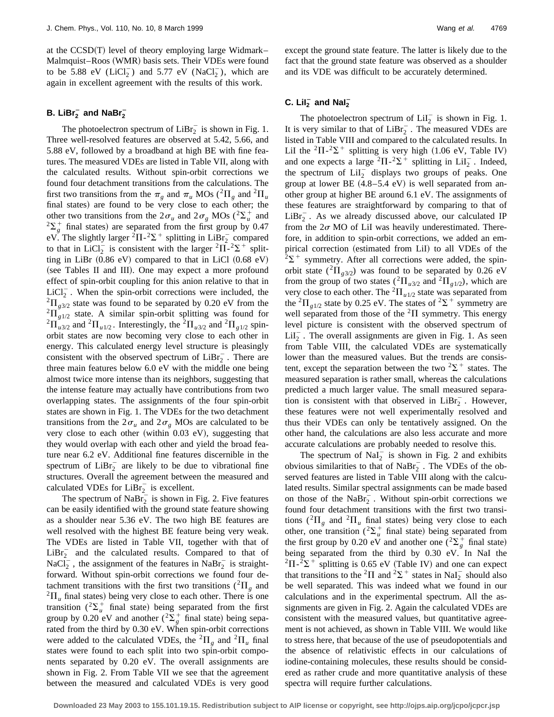at the  $CCSD(T)$  level of theory employing large Widmark– Malmquist–Roos (WMR) basis sets. Their VDEs were found to be 5.88 eV  $(LiCl<sub>2</sub><sup>-</sup>)$  and 5.77 eV  $(NaCl<sub>2</sub><sup>-</sup>)$ , which are again in excellent agreement with the results of this work.

## **B.** LiBr<sub>2</sub><sup> $-$ </sup> and NaBr<sub>2</sub><sup> $-$ </sup>

The photoelectron spectrum of  $LiBr_2^-$  is shown in Fig. 1. Three well-resolved features are observed at 5.42, 5.66, and 5.88 eV, followed by a broadband at high BE with fine features. The measured VDEs are listed in Table VII, along with the calculated results. Without spin-orbit corrections we found four detachment transitions from the calculations. The first two transitions from the  $\pi_g$  and  $\pi_u$  MOs (<sup>2</sup> $\Pi_g$  and <sup>2</sup> $\Pi_u$ final states) are found to be very close to each other; the other two transitions from the  $2\sigma_u$  and  $2\sigma_g$  MOs ( ${}^2\Sigma_u^+$  and  $2\Sigma_g^+$  final states) are separated from the first group by 0.47 eV. The slightly larger  ${}^{2}\Pi - {}^{2}\Sigma^{+}$  splitting in LiBr<sub>2</sub> compared to that in LiCl<sub>2</sub> is consistent with the larger  ${}^{2}\overline{\Pi} \cdot {}^{2}\Sigma^{+}$  splitting in LiBr  $(0.86 \text{ eV})$  compared to that in LiCl  $(0.68 \text{ eV})$ (see Tables II and III). One may expect a more profound effect of spin-orbit coupling for this anion relative to that in  $LiCl<sub>2</sub>$ . When the spin-orbit corrections were included, the  ${}^{2}\Pi_{g3/2}$  state was found to be separated by 0.20 eV from the  ${}^{2}\Pi_{e1/2}$  state. A similar spin-orbit splitting was found for  ${}^{2}\Pi_{u3/2}$  and  ${}^{2}\Pi_{u1/2}$ . Interestingly, the  ${}^{2}\Pi_{u3/2}$  and  ${}^{2}\Pi_{g1/2}$  spinorbit states are now becoming very close to each other in energy. This calculated energy level structure is pleasingly consistent with the observed spectrum of  $LiBr_2^-$ . There are three main features below 6.0 eV with the middle one being almost twice more intense than its neighbors, suggesting that the intense feature may actually have contributions from two overlapping states. The assignments of the four spin-orbit states are shown in Fig. 1. The VDEs for the two detachment transitions from the  $2\sigma_u$  and  $2\sigma_g$  MOs are calculated to be very close to each other (within  $0.03$  eV), suggesting that they would overlap with each other and yield the broad feature near 6.2 eV. Additional fine features discernible in the spectrum of  $LiBr_2^-$  are likely to be due to vibrational fine structures. Overall the agreement between the measured and calculated VDEs for  $LiBr_2^-$  is excellent.

The spectrum of  $Nabr_2^-$  is shown in Fig. 2. Five features can be easily identified with the ground state feature showing as a shoulder near 5.36 eV. The two high BE features are well resolved with the highest BE feature being very weak. The VDEs are listed in Table VII, together with that of  $LiBr_2^-$  and the calculated results. Compared to that of NaCl<sub>2</sub>, the assignment of the features in NaBr<sub>2</sub> is straightforward. Without spin-orbit corrections we found four detachment transitions with the first two transitions  $({}^{2}\Pi_{g}$  and  ${}^{2}\Pi_{u}$  final states) being very close to each other. There is one transition  $({}^2\Sigma_u^+$  final state) being separated from the first group by 0.20 eV and another  $\binom{2}{\sum_{g}}^{\infty}$  final state) being separated from the third by 0.30 eV. When spin-orbit corrections were added to the calculated VDEs, the <sup>2</sup> $\Pi_g$  and <sup>2</sup> $\Pi_u$  final states were found to each split into two spin-orbit components separated by 0.20 eV. The overall assignments are shown in Fig. 2. From Table VII we see that the agreement between the measured and calculated VDEs is very good except the ground state feature. The latter is likely due to the fact that the ground state feature was observed as a shoulder and its VDE was difficult to be accurately determined.

## $C.$   $Lil_2^-$  and  $Nal_2^-$

The photoelectron spectrum of  $LiI_2^-$  is shown in Fig. 1. It is very similar to that of  $LiBr_2^-$ . The measured VDEs are listed in Table VIII and compared to the calculated results. In LiI the <sup>2</sup> $\Pi$ -<sup>2</sup> $\Sigma$ <sup>+</sup> splitting is very high (1.06 eV, Table IV) and one expects a large  ${}^{2}\Pi \cdot {}^{2}\Sigma^{+}$  splitting in LiI<sub>2</sub>. Indeed, the spectrum of  $LiI_2^-$  displays two groups of peaks. One group at lower BE  $(4.8-5.4 \text{ eV})$  is well separated from another group at higher BE around 6.1 eV. The assignments of these features are straightforward by comparing to that of  $LiBr_2^-$ . As we already discussed above, our calculated IP from the  $2\sigma$  MO of LiI was heavily underestimated. Therefore, in addition to spin-orbit corrections, we added an empirical correction (estimated from LiI) to all VDEs of the  $2\Sigma^+$  symmetry. After all corrections were added, the spinorbit state  $({}^{2}\Pi_{g3/2})$  was found to be separated by 0.26 eV from the group of two states  $({}^{2}\Pi_{u3/2}$  and  ${}^{2}\Pi_{g1/2})$ , which are very close to each other. The  ${}^{2}$  $\Pi_{u1/2}$  state was separated from the <sup>2</sup> $\Pi_{g1/2}$  state by 0.25 eV. The states of <sup>2</sup> $\Sigma$ <sup>+</sup> symmetry are well separated from those of the  ${}^{2}$ II symmetry. This energy level picture is consistent with the observed spectrum of  $LiI<sub>2</sub><sup>-</sup>$ . The overall assignments are given in Fig. 1. As seen from Table VIII, the calculated VDEs are systematically lower than the measured values. But the trends are consistent, except the separation between the two  $2\Sigma^+$  states. The measured separation is rather small, whereas the calculations predicted a much larger value. The small measured separation is consistent with that observed in  $LiBr_2^-$ . However, these features were not well experimentally resolved and thus their VDEs can only be tentatively assigned. On the other hand, the calculations are also less accurate and more accurate calculations are probably needed to resolve this.

The spectrum of  $\text{Na}_2\bar{1}$  is shown in Fig. 2 and exhibits obvious similarities to that of  $Nabr_2^-$ . The VDEs of the observed features are listed in Table VIII along with the calculated results. Similar spectral assignments can be made based on those of the  $Nabr_2^-$ . Without spin-orbit corrections we found four detachment transitions with the first two transitions  $({}^{2}\Pi_{g}$  and  ${}^{2}\Pi_{u}$  final states) being very close to each other, one transition  $({}^2\Sigma_u^+$  final state) being separated from the first group by 0.20 eV and another one  $(2\sum_{g}^{+}$  final state) being separated from the third by 0.30 eV. In NaI the <sup>2</sup> $\Pi$ -<sup>2</sup> $\Sigma$ <sup>+</sup> splitting is 0.65 eV (Table IV) and one can expect that transitions to the <sup>2</sup> $\Pi$  and <sup>2</sup> $\Sigma$ <sup>+</sup> states in NaI<sub>2</sub> should also be well separated. This was indeed what we found in our calculations and in the experimental spectrum. All the assignments are given in Fig. 2. Again the calculated VDEs are consistent with the measured values, but quantitative agreement is not achieved, as shown in Table VIII. We would like to stress here, that because of the use of pseudopotentials and the absence of relativistic effects in our calculations of iodine-containing molecules, these results should be considered as rather crude and more quantitative analysis of these spectra will require further calculations.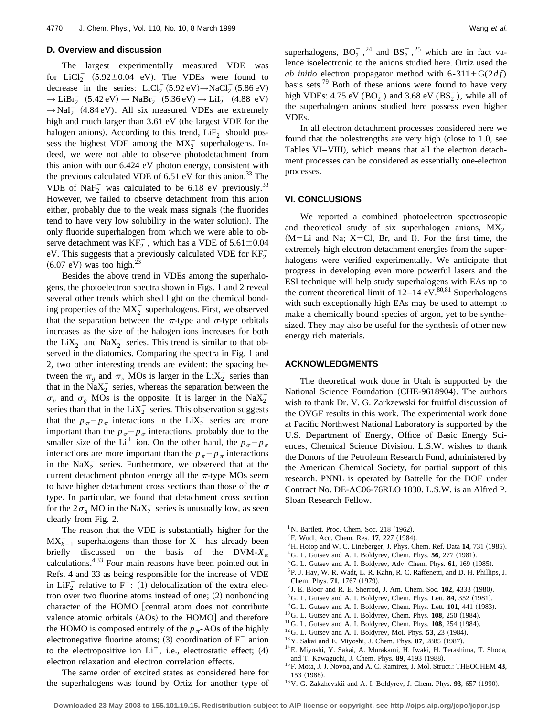### **D. Overview and discussion**

The largest experimentally measured VDE was for  $LiCl_2^-$  (5.92 $\pm$ 0.04 eV). The VDEs were found to decrease in the series:  $LiCl_2^- (5.92 \text{ eV}) \rightarrow NaCl_2^- (5.86 \text{ eV})$  $\rightarrow$  LiBr<sub>2</sub><sup>-</sup> (5.42 eV)  $\rightarrow$  NaBr<sub>2</sub><sup>-</sup> (5.36 eV)  $\rightarrow$  LiI<sub>2</sub><sup>-</sup> (4.88 eV)  $\rightarrow$ NaI<sub>2</sub><sup>-</sup> (4.84 eV). All six measured VDEs are extremely high and much larger than  $3.61$  eV (the largest VDE for the halogen anions). According to this trend,  $\text{LiF}_2^-$  should possess the highest VDE among the  $MX_2^-$  superhalogens. Indeed, we were not able to observe photodetachment from this anion with our 6.424 eV photon energy, consistent with the previous calculated VDE of  $6.51$  eV for this anion.<sup>33</sup> The VDE of  $\text{NaF}_2^-$  was calculated to be 6.18 eV previously.<sup>33</sup> However, we failed to observe detachment from this anion either, probably due to the weak mass signals (the fluorides tend to have very low solubility in the water solution). The only fluoride superhalogen from which we were able to observe detachment was  $KF_2^-$ , which has a VDE of  $5.61 \pm 0.04$ eV. This suggests that a previously calculated VDE for  $KF_2^ (6.07 \text{ eV})$  was too high.<sup>23</sup>

Besides the above trend in VDEs among the superhalogens, the photoelectron spectra shown in Figs. 1 and 2 reveal several other trends which shed light on the chemical bonding properties of the  $MX_2^-$  superhalogens. First, we observed that the separation between the  $\pi$ -type and  $\sigma$ -type orbitals increases as the size of the halogen ions increases for both the  $LiX_2^-$  and  $NaX_2^-$  series. This trend is similar to that observed in the diatomics. Comparing the spectra in Fig. 1 and 2, two other interesting trends are evident: the spacing between the  $\pi_g$  and  $\pi_u$  MOs is larger in the LiX<sub>2</sub> series than that in the  $NaX_2^-$  series, whereas the separation between the  $\sigma_u$  and  $\sigma_g$  MOs is the opposite. It is larger in the NaX<sub>2</sub><sup>2</sup> series than that in the  $LiX_2^-$  series. This observation suggests that the  $p_{\pi} - p_{\pi}$  interactions in the LiX<sub>2</sub> series are more important than the  $p_{\sigma} - p_{\sigma}$  interactions, probably due to the smaller size of the Li<sup>+</sup> ion. On the other hand, the  $p_{\sigma} - p_{\sigma}$ interactions are more important than the  $p_{\pi} - p_{\pi}$  interactions in the  $\text{NaX}_2^-$  series. Furthermore, we observed that at the current detachment photon energy all the  $\pi$ -type MOs seem to have higher detachment cross sections than those of the  $\sigma$ type. In particular, we found that detachment cross section for the  $2\sigma_g$  MO in the NaX<sub>2</sub> series is unusually low, as seen clearly from Fig. 2.

The reason that the VDE is substantially higher for the  $MX<sub>k+1</sub><sup>-</sup>$  superhalogens than those for  $X<sup>-</sup>$  has already been briefly discussed on the basis of the DVM- $X_\alpha$ calculations.4,33 Four main reasons have been pointed out in Refs. 4 and 33 as being responsible for the increase of VDE in  $\text{LiF}_2^-$  relative to F<sup>-</sup>: (1) delocalization of the extra electron over two fluorine atoms instead of one;  $(2)$  nonbonding character of the HOMO [central atom does not contribute valence atomic orbitals  $(AOs)$  to the HOMO $]$  and therefore the HOMO is composed entirely of the  $p_{\pi}$ -AOs of the highly electronegative fluorine atoms; (3) coordination of  $F^-$  anion to the electropositive ion  $Li^+$ , i.e., electrostatic effect;  $(4)$ electron relaxation and electron correlation effects.

superhalogens,  $BO_2^-$ ,  $^{24}$  and  $BS_2^-$ ,  $^{25}$  which are in fact valence isoelectronic to the anions studied here. Ortiz used the *ab initio* electron propagator method with  $6-311+G(2df)$ basis sets.<sup>79</sup> Both of these anions were found to have very high VDEs:  $4.75 \text{ eV} (BO_2^-)$  and  $3.68 \text{ eV} (BS_2^-)$ , while all of the superhalogen anions studied here possess even higher VDEs.

In all electron detachment processes considered here we found that the polestrengths are very high (close to  $1.0$ , see Tables VI–VIII), which means that all the electron detachment processes can be considered as essentially one-electron processes.

#### **VI. CONCLUSIONS**

We reported a combined photoelectron spectroscopic and theoretical study of six superhalogen anions,  $MX_2^ (M=Li$  and Na;  $X=Cl$ , Br, and I). For the first time, the extremely high electron detachment energies from the superhalogens were verified experimentally. We anticipate that progress in developing even more powerful lasers and the ESI technique will help study superhalogens with EAs up to the current theoretical limit of  $12-14$  eV.<sup>80,81</sup> Superhalogens with such exceptionally high EAs may be used to attempt to make a chemically bound species of argon, yet to be synthesized. They may also be useful for the synthesis of other new energy rich materials.

### **ACKNOWLEDGMENTS**

The theoretical work done in Utah is supported by the National Science Foundation (CHE-9618904). The authors wish to thank Dr. V. G. Zarkzewski for fruitful discussion of the OVGF results in this work. The experimental work done at Pacific Northwest National Laboratory is supported by the U.S. Department of Energy, Office of Basic Energy Sciences, Chemical Science Division. L.S.W. wishes to thank the Donors of the Petroleum Research Fund, administered by the American Chemical Society, for partial support of this research. PNNL is operated by Battelle for the DOE under Contract No. DE-AC06-76RLO 1830. L.S.W. is an Alfred P. Sloan Research Fellow.

- $1$ N. Bartlett, Proc. Chem. Soc. 218 (1962).
- $^{2}$ F. Wudl, Acc. Chem. Res. 17, 227 (1984).
- <sup>3</sup>H. Hotop and W. C. Lineberger, J. Phys. Chem. Ref. Data 14, 731 (1985).
- ${}^{4}$ G. L. Gutsev and A. I. Boldyrev, Chem. Phys. **56**, 277 (1981).
- ${}^5$ G. L. Gutsev and A. I. Boldyrev, Adv. Chem. Phys. 61, 169 (1985).
- 6P. J. Hay, W. R. Wadt, L. R. Kahn, R. C. Raffenetti, and D. H. Phillips, J. Chem. Phys. **71**, 1767 (1979).
- <sup>7</sup> J. E. Bloor and R. E. Sherrod, J. Am. Chem. Soc.  $102$ , 4333 (1980).
- ${}^{8}$ G. L. Gutsev and A. I. Boldyrev, Chem. Phys. Lett. **84**, 352 (1981).
- $9^9$ G. L. Gutsev and A. I. Boldyrev, Chem. Phys. Lett.  $101$ , 441 (1983).
- $10$ <sup>G</sup>. L. Gutsev and A. I. Boldyrev, Chem. Phys.  $108$ ,  $250$  (1984).
- $11$ G. L. Gutsev and A. I. Boldyrev, Chem. Phys.  $108$ ,  $254$  (1984).
- $12$  G. L. Gutsev and A. I. Boldyrev, Mol. Phys. **53**, 23 (1984).
- <sup>13</sup>Y. Sakai and E. Miyoshi, J. Chem. Phys. **87**, 2885 (1987).
- 14E. Miyoshi, Y. Sakai, A. Murakami, H. Iwaki, H. Terashima, T. Shoda, and T. Kawaguchi, J. Chem. Phys. **89**, 4193 (1988).
- 15F. Mota, J. J. Novoa, and A. C. Ramirez, J. Mol. Struct.: THEOCHEM **43**, 153 (1988).
- $^{16}$ V. G. Zakzhevskii and A. I. Boldyrev, J. Chem. Phys. **93**, 657 (1990).